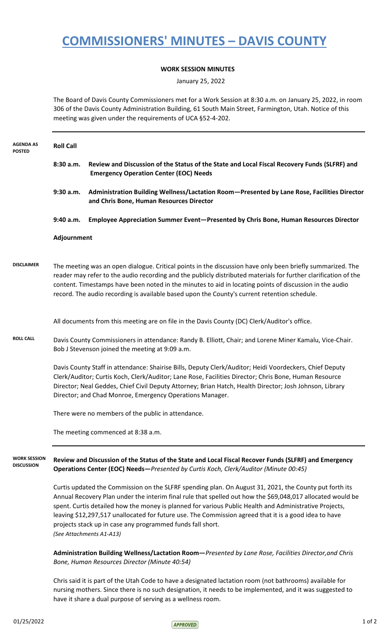## **COMMISSIONERS' MINUTES – DAVIS COUNTY**

## **WORK SESSION MINUTES**

January 25, 2022

The Board of Davis County Commissioners met for a Work Session at 8:30 a.m. on January 25, 2022, in room 306 of the Davis County Administration Building, 61 South Main Street, Farmington, Utah. Notice of this meeting was given under the requirements of UCA §52-4-202.

| <b>AGENDA AS</b><br><b>POSTED</b>        | <b>Roll Call</b>                                                                                                                                                                                                                                                                                                                                                                                                                                                                                                                  |                                                                                                                                                                                                                                                                                                                                                                                                                                          |  |
|------------------------------------------|-----------------------------------------------------------------------------------------------------------------------------------------------------------------------------------------------------------------------------------------------------------------------------------------------------------------------------------------------------------------------------------------------------------------------------------------------------------------------------------------------------------------------------------|------------------------------------------------------------------------------------------------------------------------------------------------------------------------------------------------------------------------------------------------------------------------------------------------------------------------------------------------------------------------------------------------------------------------------------------|--|
|                                          | 8:30 a.m.                                                                                                                                                                                                                                                                                                                                                                                                                                                                                                                         | Review and Discussion of the Status of the State and Local Fiscal Recovery Funds (SLFRF) and<br><b>Emergency Operation Center (EOC) Needs</b>                                                                                                                                                                                                                                                                                            |  |
|                                          | 9:30 a.m.                                                                                                                                                                                                                                                                                                                                                                                                                                                                                                                         | Administration Building Wellness/Lactation Room-Presented by Lane Rose, Facilities Director<br>and Chris Bone, Human Resources Director                                                                                                                                                                                                                                                                                                  |  |
|                                          | 9:40 a.m.                                                                                                                                                                                                                                                                                                                                                                                                                                                                                                                         | Employee Appreciation Summer Event-Presented by Chris Bone, Human Resources Director                                                                                                                                                                                                                                                                                                                                                     |  |
|                                          | Adjournment                                                                                                                                                                                                                                                                                                                                                                                                                                                                                                                       |                                                                                                                                                                                                                                                                                                                                                                                                                                          |  |
| <b>DISCLAIMER</b>                        |                                                                                                                                                                                                                                                                                                                                                                                                                                                                                                                                   | The meeting was an open dialogue. Critical points in the discussion have only been briefly summarized. The<br>reader may refer to the audio recording and the publicly distributed materials for further clarification of the<br>content. Timestamps have been noted in the minutes to aid in locating points of discussion in the audio<br>record. The audio recording is available based upon the County's current retention schedule. |  |
|                                          | All documents from this meeting are on file in the Davis County (DC) Clerk/Auditor's office.                                                                                                                                                                                                                                                                                                                                                                                                                                      |                                                                                                                                                                                                                                                                                                                                                                                                                                          |  |
| <b>ROLL CALL</b>                         | Davis County Commissioners in attendance: Randy B. Elliott, Chair; and Lorene Miner Kamalu, Vice-Chair.<br>Bob J Stevenson joined the meeting at 9:09 a.m.                                                                                                                                                                                                                                                                                                                                                                        |                                                                                                                                                                                                                                                                                                                                                                                                                                          |  |
|                                          | Davis County Staff in attendance: Shairise Bills, Deputy Clerk/Auditor; Heidi Voordeckers, Chief Deputy<br>Clerk/Auditor; Curtis Koch, Clerk/Auditor; Lane Rose, Facilities Director; Chris Bone, Human Resource<br>Director; Neal Geddes, Chief Civil Deputy Attorney; Brian Hatch, Health Director; Josh Johnson, Library<br>Director; and Chad Monroe, Emergency Operations Manager.                                                                                                                                           |                                                                                                                                                                                                                                                                                                                                                                                                                                          |  |
|                                          | There were no members of the public in attendance.                                                                                                                                                                                                                                                                                                                                                                                                                                                                                |                                                                                                                                                                                                                                                                                                                                                                                                                                          |  |
|                                          | The meeting commenced at 8:38 a.m.                                                                                                                                                                                                                                                                                                                                                                                                                                                                                                |                                                                                                                                                                                                                                                                                                                                                                                                                                          |  |
| <b>WORK SESSION</b><br><b>DISCUSSION</b> | Review and Discussion of the Status of the State and Local Fiscal Recover Funds (SLFRF) and Emergency<br>Operations Center (EOC) Needs-Presented by Curtis Koch, Clerk/Auditor (Minute 00:45)                                                                                                                                                                                                                                                                                                                                     |                                                                                                                                                                                                                                                                                                                                                                                                                                          |  |
|                                          | Curtis updated the Commission on the SLFRF spending plan. On August 31, 2021, the County put forth its<br>Annual Recovery Plan under the interim final rule that spelled out how the \$69,048,017 allocated would be<br>spent. Curtis detailed how the money is planned for various Public Health and Administrative Projects,<br>leaving \$12,297,517 unallocated for future use. The Commission agreed that it is a good idea to have<br>projects stack up in case any programmed funds fall short.<br>(See Attachments A1-A13) |                                                                                                                                                                                                                                                                                                                                                                                                                                          |  |
|                                          | Administration Building Wellness/Lactation Room-Presented by Lane Rose, Facilities Director, and Chris<br>Bone, Human Resources Director (Minute 40:54)                                                                                                                                                                                                                                                                                                                                                                           |                                                                                                                                                                                                                                                                                                                                                                                                                                          |  |
|                                          |                                                                                                                                                                                                                                                                                                                                                                                                                                                                                                                                   | Chris said it is nart of the Utah Code to have a designated lactation room (not hathrooms) available for                                                                                                                                                                                                                                                                                                                                 |  |

Chris said it is part of the Utah Code to have a designated lactation room (not bathrooms) available for nursing mothers. Since there is no such designation, it needs to be implemented, and it was suggested to have it share a dual purpose of serving as a wellness room.